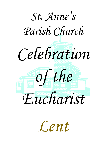

*Lent*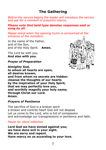### 2

## **The Gathering**

*Before the service begins the leader will introduce the service and ask for a moment of prayerful silence.* 

#### *Please note that bold type denotes responses said or sung by all.*

*Please stand when the opening hymn is announced at the entrance of the ministers.*

In the name of the Father, and of the Son, and of the Holy Spirit. **Amen.**

The Lord be with you. **And also with you.**

### *Prayer of Preparation*

**Almighty God, to whom all hearts are open, all desires known, and from whom no secrets are hidden: cleanse the thoughts of our hearts by the inspiration of your Holy Spirit, that we may perfectly love you, and worthily magnify your holy name; through Christ our Lord. Amen.**

### *Prayers of Penitence*

The sacrifice of God is a broken spirit a broken and contrite heart God will not despise Let us come to the Lord, who is full of compassion and acknowledge our transgressions in penitence and faith.

### *Pause for silent reflection*

**Lord God we have sinned against you; we have done evil in your sight. We are sorry and repent. Have mercy on us according to your love.**

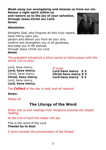**Wash away our wrongdoing and cleanse us from our sin. Renew a right spirit within us and restore us to the joy of your salvation, through Jesus Christ our Lord. Amen.**

### *Absolution*

Almighty God, who forgives all who truly repent, have mercy upon you, pardon and deliver you from all your sins, confirm and strengthen you in all goodness, and keep you in life eternal; through Jesus Christ our Lord.

### **Amen.**

*The president introduces a short period of silent prayer with the words 'Let us pray'.*

Lord, have mercy. **Lord, have mercy.** Christ, have mercy. **Christ, have mercy.** Lord, have mercy. **Lord, have mercy.**

*If sung:*

**Lord have mercy X 3 Christ have mercy X 3** Lord have mercy X 3

*The Collect of the day is said, and all respond*

**Amen.** 

*Please sit*

# **The Liturgy of the Word**

*Either one or two readings from Scripture precede the Gospel reading.*

*At the end of each the reader will say*

This is the word of the Lord. **Thanks be to God.**

*A hymn heralds the proclamation of the Gospel.*

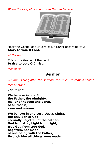*When the Gospel is announced the reader says*



Hear the Gospel of our Lord Jesus Christ according to *N.* **Glory to you, O Lord.**

*At the end*

This is the Gospel of the Lord. **Praise to you, O Christ.**

*Please sit*

### **Sermon**

*A hymn is sung after the sermon, for which we remain seated.*

### *Please stand*

*The Creed*

**We believe in one God, the Father, the Almighty, maker of heaven and earth, of all that is, seen and unseen.**

**We believe in one Lord, Jesus Christ, the only Son of God, eternally begotten of the Father, God from God, Light from Light, true God from true God, begotten, not made, of one Being with the Father; through him all things were made.**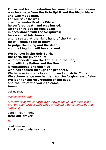**For us and for our salvation he came down from heaven, was incarnate from the Holy Spirit and the Virgin Mary and was made man. For our sake he was crucified under Pontius Pilate; he suffered death and was buried. On the third day he rose again in accordance with the Scriptures; he ascended into heaven and is seated at the right hand of the Father. He will come again in glory to judge the living and the dead, and his kingdom will have no end.**

**We believe in the Holy Spirit, the Lord, the giver of life, who proceeds from the Father and the Son, who with the Father and the Son is worshipped and glorified who has spoken through the prophets. We believe in one holy catholic and apostolic Church. We acknowledge one baptism for the forgiveness of sins. We look for the resurrection of the dead, and the life of the world to come. Amen.**

Let us pray

*Please sit or kneel*

*A member of the congregation now leads us in intercessory prayer, each prayer may have a response determined by the leader or;*

Lord in your mercy **Hear our prayer.**

*Or*

Lord hear us **Lord, graciously hear us.**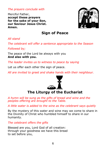*The prayers conclude with*

Merciful Father, **accept these prayers for the sake of your Son, our Saviour Jesus Christ. Amen.**



# **Sign of Peace**

*All stand*

*The celebrant will offer a sentence appropriate to the Season* 

*Followed by;*

The peace of the Lord be always with you **And also with you.**

*The leader invites us to witness to peace by saying*

Let us offer each other the sign of peace.

*All are invited to greet and shake hands with their neighbour.*



**The Liturgy of the Eucharist**

*A hymn will be sung as the gifts of bread and wine and the peoples offering are brought to the Table.*

*A little water is added to the wine as the celebrant says quietly*

By the mystery of this water and wine may we come to share in the Divinity of Christ who humbled himself to share in our humanity.

*The celebrant offers the gifts*

Blessed are you, Lord God of all creation: through your goodness we have this bread to set before you,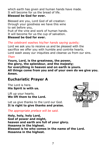which earth has given and human hands have made. It will become for us the bread of life.

### **Blessed be God for ever.**

Blessed are you, Lord God of all creation: through your goodness we have this wine to set before you, fruit of the vine and work of human hands. It will become for us the cup of salvation. **Blessed be God for ever.**

### *The celebrant washes his/her hands saying quietly;*

Lord we ask you to receive us and be pleased with the sacrifice we offer you with humble and contrite hearts. Lord wash away our iniquities and cleanse us from our sins.

### *Then*

**Yours, Lord, is the greatness, the power, the glory, the splendour, and the majesty; for everything in heaven and on earth is yours. All things come from you and of your own do we give you. Amen.**

## **Eucharistic Prayer A**

The Lord is here. **His Spirit is with us.**

Lift up your hearts. **We lift them to the Lord.**

Let us give thanks to the Lord our God. **It is right to give thanks and praise.**

*The appropriate preface will be said.*

**Holy, holy, holy Lord, God of power and might, heaven and earth are full of your glory. Hosanna in the highest. Blessed is he who comes in the name of the Lord. Hosanna in the highest.**

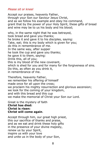### *Please sit or kneel*

Accept our praises, heavenly Father, through your Son our Saviour Jesus Christ, and as we follow his example and obey his command, grant that by the power of your Holy Spirit, these gifts of bread and wine may be to us his body and his blood;

who, in the same night that he was betrayed, took bread and gave you thanks; he broke it and gave it to his disciples, saying: Take, eat; this is my body which is given for you; do this in remembrance of me. In the same way, after supper he took the cup and gave you thanks; he gave it to them, saying: Drink this, all of you; this is my blood of the new covenant, which is shed for you and for many for the forgiveness of sins. Do this, as often as you drink it, in remembrance of me.

Therefore, heavenly Father, we remember his offering of himself made once for all upon the cross; we proclaim his mighty resurrection and glorious ascension; we look for the coming of your kingdom, and with this bread and this cup we make the memorial of Christ your Son our Lord.

Great is the mystery of faith **Christ has died: Christ is risen: Christ will come again**.

Accept through him, our great high priest, this our sacrifice of thanks and praise, and as we eat and drink these holy gifts in the presence of your divine majesty, renew us by your Spirit, inspire us with your love and unite us in the body of your Son,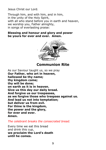Jesus Christ our Lord.

Through him, and with him, and in him, in the unity of the Holy Spirit, with all who stand before you in earth and heaven, we worship you, Father almighty, in songs of everlasting praise:

### **Blessing and honour and glory and power be yours for ever and ever. Amen.**



### **Communion Rite**

As our Saviour taught us, so we pray **Our Father, who art in heaven, hallowed be thy name; thy kingdom come; thy will be done; on earth as it is in heaven. Give us this day our daily bread. And forgive us our trespasses, as we forgive those who trespass against us. And lead us not into temptation; but deliver us from evil. For thine is the kingdom, the power and the glory, for ever and ever. Amen.**

*The celebrant breaks the consecrated bread.*

Every time we eat this bread and drink this cup, **we proclaim the Lord's death until he comes.**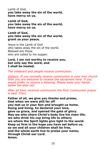Lamb of God, **you take away the sin of the world, have mercy on us.**

**Lamb of God, you take away the sin of the world, have mercy on us.**

**Lamb of God, you take away the sin of the world, grant us your peace.**

Jesus is the Lamb of God who takes away the sin of the world. Blessed are those who are called to his supper.

**Lord, I am not worthy to receive you, but only say the word, and I shall be healed.**

*The celebrant and people receive communion.* 

*Visitors: If you normally receive communion in your own church then you are welcome to receive the sacrament here. If you would prefer to receive a blessing. Please keep your hands below the altar rail.*

*After all have received communion the Post Communion prayer is said. Then;*

**Father of all, we give you thanks and praise, that when we were still far off you met us in your Son and brought us home. Dying and living, he declared your love, gave us grace, and opened the gate of glory. May we who share Christ's body live his risen life; we who drink his cup bring life to others; we whom the Spirit lights give light to the world. Keep us firm in the hope you have set before us, so we and all your children shall be free, and the whole earth live to praise your name; through Christ our Lord. Amen.**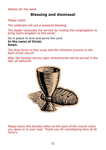*Notices for the week.*

# **Blessing and dismissal**

*Please stand*

*The celebrant will use a seasonal blessing,* 

*The leader concludes the service by inviting the congregation to bring God's kingdom to the world:* 

Go in peace to love and serve the Lord. **In the name of Christ. Amen.**

*The final hymn is then sung and the ministers process to the back of the church.*

*After the Sunday service light refreshments will be served in the hall, all welcome.*



*Please leave this booklet either at the back of the church when you leave or in your seat. Thank you for worshipping here at St. Anne's.*